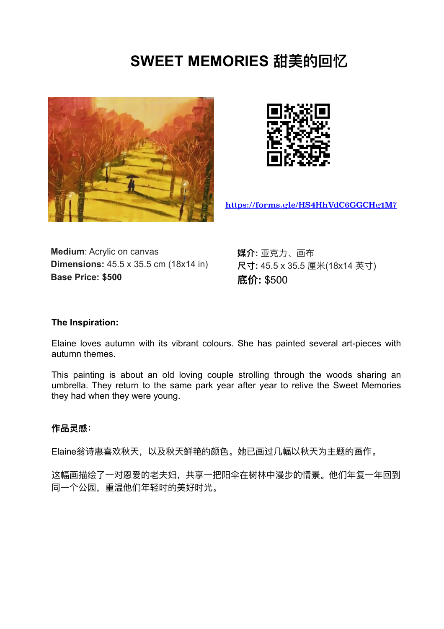# **SWEET MEMORIES 甜美的回忆**





<https://forms.gle/HS4HhVdC6GGCHg1M7>

**Medium**: Acrylic on canvas **Dimensions:** 45.5 x 35.5 cm (18x14 in) **Base Price: \$500**

**媒介:** 亚克⼒、画布 **尺⼨:** 45.5 x 35.5 厘⽶(18x14 英⼨) **底价:** \$500

## **The Inspiration:**

Elaine loves autumn with its vibrant colours. She has painted several art-pieces with autumn themes.

This painting is about an old loving couple strolling through the woods sharing an umbrella. They return to the same park year after year to relive the Sweet Memories they had when they were young.

#### **作品灵感:**

Elaine翁诗惠喜欢秋天,以及秋天鲜艳的颜色。她已画过几幅以秋天为主题的画作。

这幅画描绘了一对恩爱的老夫妇,共享一把阳伞在树林中漫步的情景。他们年复一年回到 同⼀个公园,重温他们年轻时的美好时光。